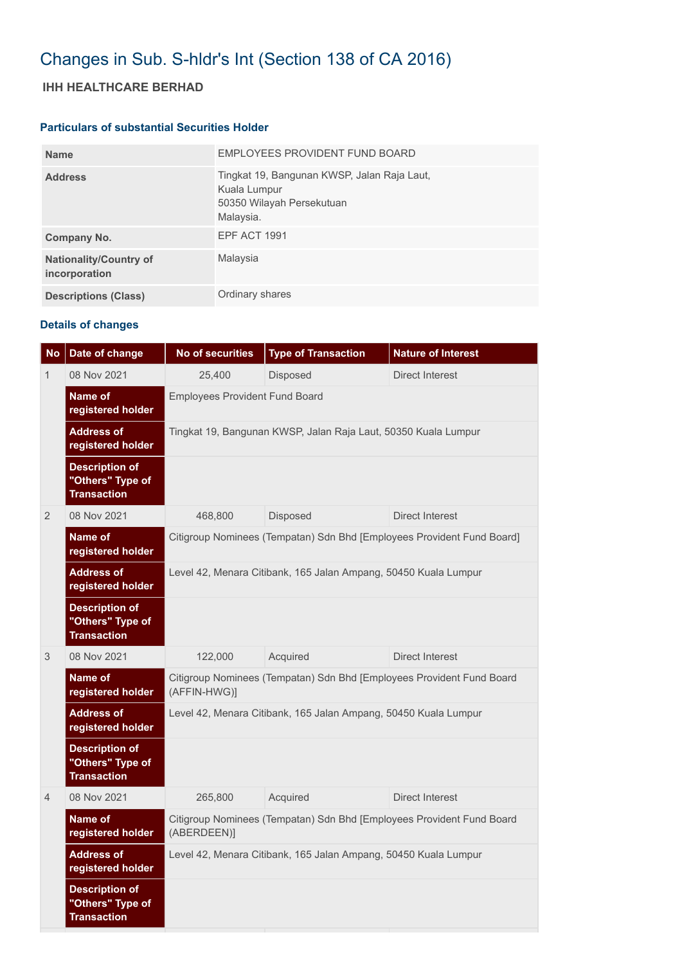# Changes in Sub. S-hldr's Int (Section 138 of CA 2016)

## **IHH HEALTHCARE BERHAD**

#### **Particulars of substantial Securities Holder**

| <b>Name</b>                                    | EMPLOYEES PROVIDENT FUND BOARD                                                                        |
|------------------------------------------------|-------------------------------------------------------------------------------------------------------|
| <b>Address</b>                                 | Tingkat 19, Bangunan KWSP, Jalan Raja Laut,<br>Kuala Lumpur<br>50350 Wilayah Persekutuan<br>Malaysia. |
| Company No.                                    | <b>EPF ACT 1991</b>                                                                                   |
| <b>Nationality/Country of</b><br>incorporation | Malaysia                                                                                              |
| <b>Descriptions (Class)</b>                    | Ordinary shares                                                                                       |

### **Details of changes**

| <b>No</b>      | Date of change                                                  | <b>No of securities</b>                                                               | <b>Type of Transaction</b> | <b>Nature of Interest</b> |  |  |  |
|----------------|-----------------------------------------------------------------|---------------------------------------------------------------------------------------|----------------------------|---------------------------|--|--|--|
| $\mathbf 1$    | 08 Nov 2021                                                     | 25,400                                                                                | Disposed                   | <b>Direct Interest</b>    |  |  |  |
|                | Name of<br>registered holder                                    | <b>Employees Provident Fund Board</b>                                                 |                            |                           |  |  |  |
|                | <b>Address of</b><br>registered holder                          | Tingkat 19, Bangunan KWSP, Jalan Raja Laut, 50350 Kuala Lumpur                        |                            |                           |  |  |  |
|                | <b>Description of</b><br>"Others" Type of<br><b>Transaction</b> |                                                                                       |                            |                           |  |  |  |
| $\overline{2}$ | 08 Nov 2021                                                     | 468,800                                                                               | Disposed                   | Direct Interest           |  |  |  |
|                | Name of<br>registered holder                                    | Citigroup Nominees (Tempatan) Sdn Bhd [Employees Provident Fund Board]                |                            |                           |  |  |  |
|                | <b>Address of</b><br>registered holder                          | Level 42, Menara Citibank, 165 Jalan Ampang, 50450 Kuala Lumpur                       |                            |                           |  |  |  |
|                | <b>Description of</b><br>"Others" Type of<br><b>Transaction</b> |                                                                                       |                            |                           |  |  |  |
| 3              | 08 Nov 2021                                                     | 122,000                                                                               | Acquired                   | Direct Interest           |  |  |  |
|                | Name of<br>registered holder                                    | Citigroup Nominees (Tempatan) Sdn Bhd [Employees Provident Fund Board<br>(AFFIN-HWG)] |                            |                           |  |  |  |
|                | <b>Address of</b><br>registered holder                          | Level 42, Menara Citibank, 165 Jalan Ampang, 50450 Kuala Lumpur                       |                            |                           |  |  |  |
|                | <b>Description of</b><br>"Others" Type of<br><b>Transaction</b> |                                                                                       |                            |                           |  |  |  |
| $\overline{4}$ | 08 Nov 2021                                                     | 265,800                                                                               | Acquired                   | Direct Interest           |  |  |  |
|                | Name of<br>registered holder                                    | Citigroup Nominees (Tempatan) Sdn Bhd [Employees Provident Fund Board<br>(ABERDEEN)]  |                            |                           |  |  |  |
|                | <b>Address of</b><br>registered holder                          | Level 42, Menara Citibank, 165 Jalan Ampang, 50450 Kuala Lumpur                       |                            |                           |  |  |  |
|                | <b>Description of</b><br>"Others" Type of<br><b>Transaction</b> |                                                                                       |                            |                           |  |  |  |